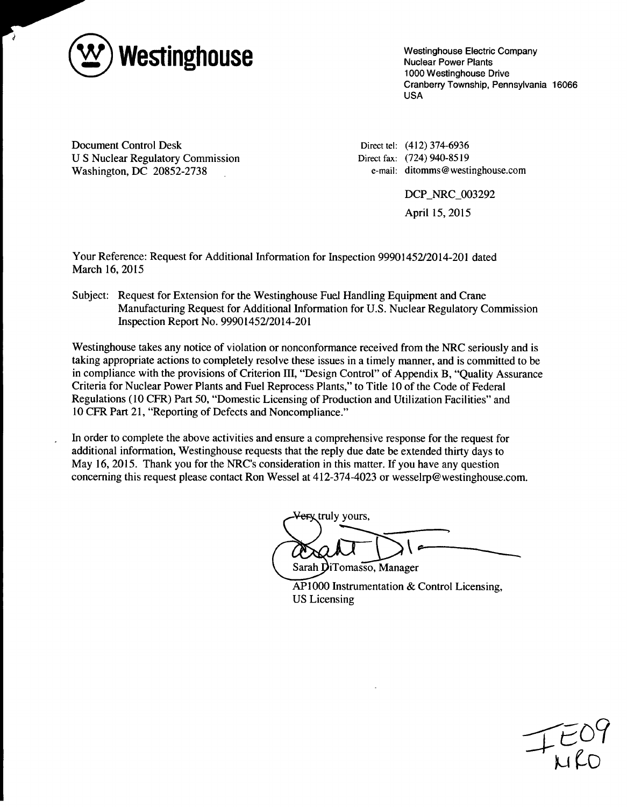

7

Westinghouse Electric Company Nuclear Power Plants 1000 Westinghouse Drive Cranberry Township, Pennsylvania 16066 USA

Document Control Desk U S Nuclear Regulatory Commission Washington, DC 20852-2738

Direct tel: (412) 374-6936 Direct fax: (724) 940-8519 e-mail: ditomms @ westinghouse.com

DCP\_NRC\_003292

April 15, 2015

Your Reference: Request for Additional Information for Inspection 99901452/2014-201 dated March 16, 2015

Subject: Request for Extension for the Westinghouse Fuel Handling Equipment and Crane Manufacturing Request for Additional Information for U.S. Nuclear Regulatory Commission Inspection Report No. 99901452/2014-201

Westinghouse takes any notice of violation or nonconformance received from the NRC seriously and is taking appropriate actions to completely resolve these issues in a timely manner, and is committed to be in compliance with the provisions of Criterion HI, "Design Control" of Appendix B, "Quality Assurance Criteria for Nuclear Power Plants and Fuel Reprocess Plants," to Title 10 of the Code of Federal Regulations (10 CFR) Part 50, "Domestic Licensing of Production and Utilization Facilities" and 10 CFR Part 21, "Reporting of Defects and Noncompliance."

In order to complete the above activities and ensure a comprehensive response for the request for additional information, Westinghouse requests that the reply due date be extended thirty days to May 16, 2015. Thank you for the NRC's consideration in this matter. If you have any question concerning this request please contact Ron Wessel at 412-374-4023 or wesselrp@westinghouse.com.

**erx** truly yours,

Sarah DiTomasso, Manager AP1000 Instrumentation & Control Licensing, US Licensing